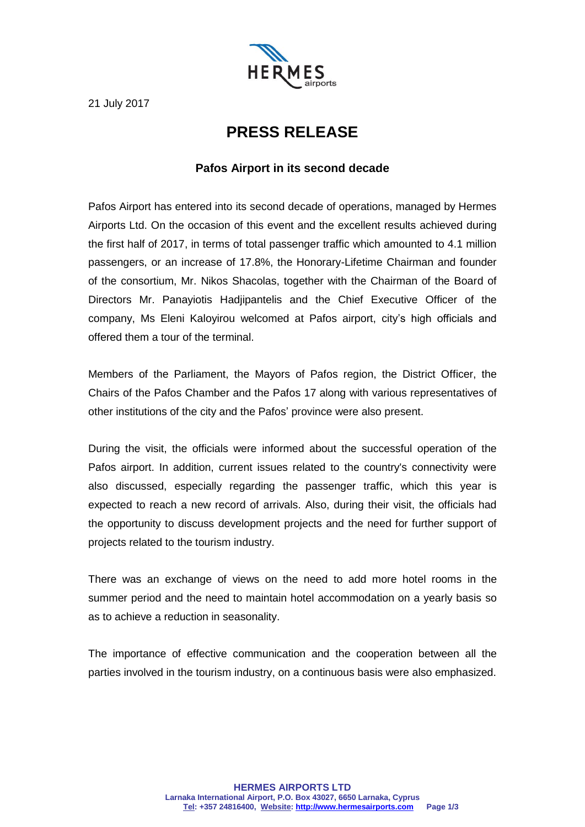

21 July 2017

## **PRESS RELEASE**

## **Pafos Airport in its second decade**

Pafos Airport has entered into its second decade of operations, managed by Hermes Airports Ltd. On the occasion of this event and the excellent results achieved during the first half of 2017, in terms of total passenger traffic which amounted to 4.1 million passengers, or an increase of 17.8%, the Honorary-Lifetime Chairman and founder of the consortium, Mr. Nikos Shacolas, together with the Chairman of the Board of Directors Mr. Panayiotis Hadjipantelis and the Chief Executive Officer of the company, Ms Eleni Kaloyirou welcomed at Pafos airport, city's high officials and offered them a tour of the terminal.

Members of the Parliament, the Mayors of Pafos region, the District Officer, the Chairs of the Pafos Chamber and the Pafos 17 along with various representatives of other institutions of the city and the Pafos' province were also present.

During the visit, the officials were informed about the successful operation of the Pafos airport. In addition, current issues related to the country's connectivity were also discussed, especially regarding the passenger traffic, which this year is expected to reach a new record of arrivals. Also, during their visit, the officials had the opportunity to discuss development projects and the need for further support of projects related to the tourism industry.

There was an exchange of views on the need to add more hotel rooms in the summer period and the need to maintain hotel accommodation on a yearly basis so as to achieve a reduction in seasonality.

The importance of effective communication and the cooperation between all the parties involved in the tourism industry, on a continuous basis were also emphasized.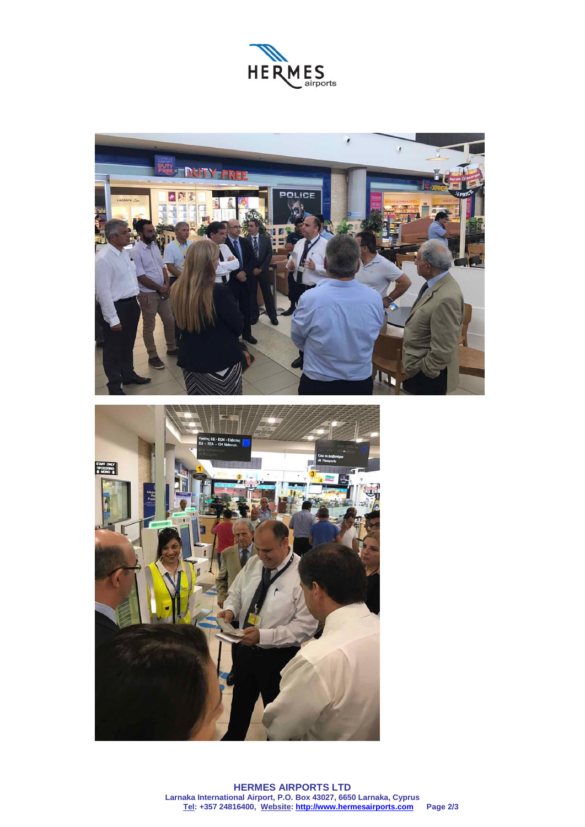